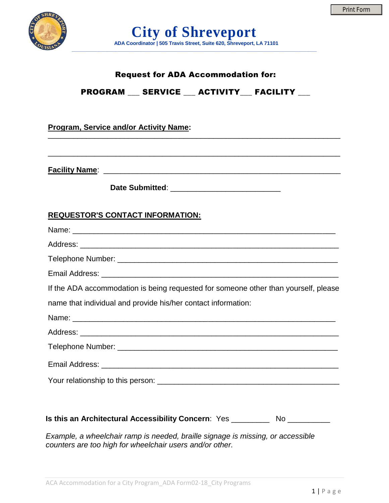

## Request for ADA Accommodation for:

# PROGRAM \_\_\_ SERVICE \_\_\_ ACTIVITY\_\_\_ FACILITY \_\_\_

### **Program, Service and/or Activity Name:**

**Facility Name**: \_\_\_\_\_\_\_\_\_\_\_\_\_\_\_\_\_\_\_\_\_\_\_\_\_\_\_\_\_\_\_\_\_\_\_\_\_\_\_\_\_\_\_\_\_\_\_\_\_\_\_\_\_\_\_\_

**Date Submitted**: \_\_\_\_\_\_\_\_\_\_\_\_\_\_\_\_\_\_\_\_\_\_\_\_\_\_

\_\_\_\_\_\_\_\_\_\_\_\_\_\_\_\_\_\_\_\_\_\_\_\_\_\_\_\_\_\_\_\_\_\_\_\_\_\_\_\_\_\_\_\_\_\_\_\_\_\_\_\_\_\_\_\_\_\_\_\_\_\_\_\_\_\_\_\_\_

#### **REQUESTOR'S CONTACT INFORMATION:**

*Example, a wheelchair ramp is needed, braille signage is missing, or accessible counters are too high for wheelchair users and/or other.*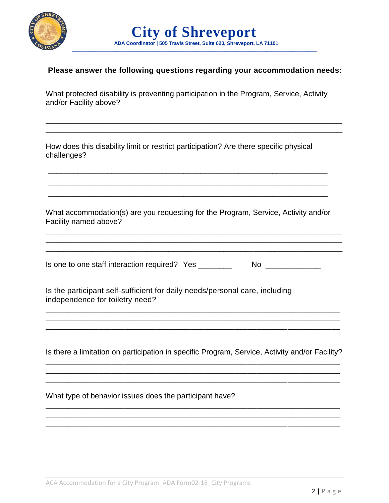

|                                                                      |  | <b>City of Shreveport</b> |  |  |
|----------------------------------------------------------------------|--|---------------------------|--|--|
| ADA Coordinator   505 Travis Street, Suite 620, Shreveport, LA 71101 |  |                           |  |  |

#### **Please answer the following questions regarding your accommodation needs:**

What protected disability is preventing participation in the Program, Service, Activity and/or Facility above?

\_\_\_\_\_\_\_\_\_\_\_\_\_\_\_\_\_\_\_\_\_\_\_\_\_\_\_\_\_\_\_\_\_\_\_\_\_\_\_\_\_\_\_\_\_\_\_\_\_\_\_\_\_\_\_\_\_\_\_\_\_\_\_\_\_\_\_\_\_\_ \_\_\_\_\_\_\_\_\_\_\_\_\_\_\_\_\_\_\_\_\_\_\_\_\_\_\_\_\_\_\_\_\_\_\_\_\_\_\_\_\_\_\_\_\_\_\_\_\_\_\_\_\_\_\_\_\_\_\_\_\_\_\_\_\_\_\_\_\_\_

 $\_$  ,  $\_$  ,  $\_$  ,  $\_$  ,  $\_$  ,  $\_$  ,  $\_$  ,  $\_$  ,  $\_$  ,  $\_$  ,  $\_$  ,  $\_$  ,  $\_$  ,  $\_$  ,  $\_$  ,  $\_$  ,  $\_$  ,  $\_$  ,  $\_$  ,  $\_$ 

How does this disability limit or restrict participation? Are there specific physical challenges?

What accommodation(s) are you requesting for the Program, Service, Activity and/or Facility named above?

\_\_\_\_\_\_\_\_\_\_\_\_\_\_\_\_\_\_\_\_\_\_\_\_\_\_\_\_\_\_\_\_\_\_\_\_\_\_\_\_\_\_\_\_\_\_\_\_\_\_\_\_\_\_\_\_\_\_\_\_\_\_\_\_\_\_\_\_\_\_ \_\_\_\_\_\_\_\_\_\_\_\_\_\_\_\_\_\_\_\_\_\_\_\_\_\_\_\_\_\_\_\_\_\_\_\_\_\_\_\_\_\_\_\_\_\_\_\_\_\_\_\_\_\_\_\_\_\_\_\_\_\_\_\_\_\_\_\_\_\_ \_\_\_\_\_\_\_\_\_\_\_\_\_\_\_\_\_\_\_\_\_\_\_\_\_\_\_\_\_\_\_\_\_\_\_\_\_\_\_\_\_\_\_\_\_\_\_\_\_\_\_\_\_\_\_\_\_\_\_\_\_\_\_\_\_\_\_\_\_\_

\_\_\_\_\_\_\_\_\_\_\_\_\_\_\_\_\_\_\_\_\_\_\_\_\_\_\_\_\_\_\_\_\_\_\_\_\_\_\_\_\_\_\_\_\_\_\_\_\_\_\_\_\_\_\_\_\_\_\_\_\_\_\_\_\_\_ \_\_\_\_\_\_\_\_\_\_\_\_\_\_\_\_\_\_\_\_\_\_\_\_\_\_\_\_\_\_\_\_\_\_\_\_\_\_\_\_\_\_\_\_\_\_\_\_\_\_\_\_\_\_\_\_\_\_\_\_\_\_\_\_\_\_

Is one to one staff interaction required? Yes \_\_\_\_\_\_\_\_\_\_\_\_\_\_\_\_\_\_\_\_\_\_\_\_\_\_\_\_\_\_\_\_\_\_

Is the participant self-sufficient for daily needs/personal care, including independence for toiletry need?

Is there a limitation on participation in specific Program, Service, Activity and/or Facility?

\_\_\_\_\_\_\_\_\_\_\_\_\_\_\_\_\_\_\_\_\_\_\_\_\_\_\_\_\_\_\_\_\_\_\_\_\_\_\_\_\_\_\_\_\_\_\_\_\_\_\_\_\_\_\_\_\_\_\_\_\_\_\_\_\_\_\_ \_\_\_\_\_\_\_\_\_\_\_\_\_\_\_\_\_\_\_\_\_\_\_\_\_\_\_\_\_\_\_\_\_\_\_\_\_\_\_\_\_\_\_\_\_\_\_\_\_\_\_\_\_\_\_\_\_\_\_\_\_\_\_\_\_\_\_ \_\_\_\_\_\_\_\_\_\_\_\_\_\_\_\_\_\_\_\_\_\_\_\_\_\_\_\_\_\_\_\_\_\_\_\_\_\_\_\_\_\_\_\_\_\_\_\_\_\_\_\_\_\_\_\_\_\_\_\_\_\_\_\_\_\_\_

\_\_\_\_\_\_\_\_\_\_\_\_\_\_\_\_\_\_\_\_\_\_\_\_\_\_\_\_\_\_\_\_\_\_\_\_\_\_\_\_\_\_\_\_\_\_\_\_\_\_\_\_\_\_\_\_\_\_\_\_\_\_\_\_\_\_\_ \_\_\_\_\_\_\_\_\_\_\_\_\_\_\_\_\_\_\_\_\_\_\_\_\_\_\_\_\_\_\_\_\_\_\_\_\_\_\_\_\_\_\_\_\_\_\_\_\_\_\_\_\_\_\_\_\_\_\_\_\_\_\_\_\_\_\_ \_\_\_\_\_\_\_\_\_\_\_\_\_\_\_\_\_\_\_\_\_\_\_\_\_\_\_\_\_\_\_\_\_\_\_\_\_\_\_\_\_\_\_\_\_\_\_\_\_\_\_\_\_\_\_\_\_\_\_\_\_\_\_\_\_\_\_

\_\_\_\_\_\_\_\_\_\_\_\_\_\_\_\_\_\_\_\_\_\_\_\_\_\_\_\_\_\_\_\_\_\_\_\_\_\_\_\_\_\_\_\_\_\_\_\_\_\_\_\_\_\_\_\_\_\_\_\_\_\_\_\_\_\_\_

\_\_\_\_\_\_\_\_\_\_\_\_\_\_\_\_\_\_\_\_\_\_\_\_\_\_\_\_\_\_\_\_\_\_\_\_\_\_\_\_\_\_\_\_\_\_\_\_\_\_\_\_\_\_\_\_\_\_\_\_\_\_\_\_\_\_\_

What type of behavior issues does the participant have?